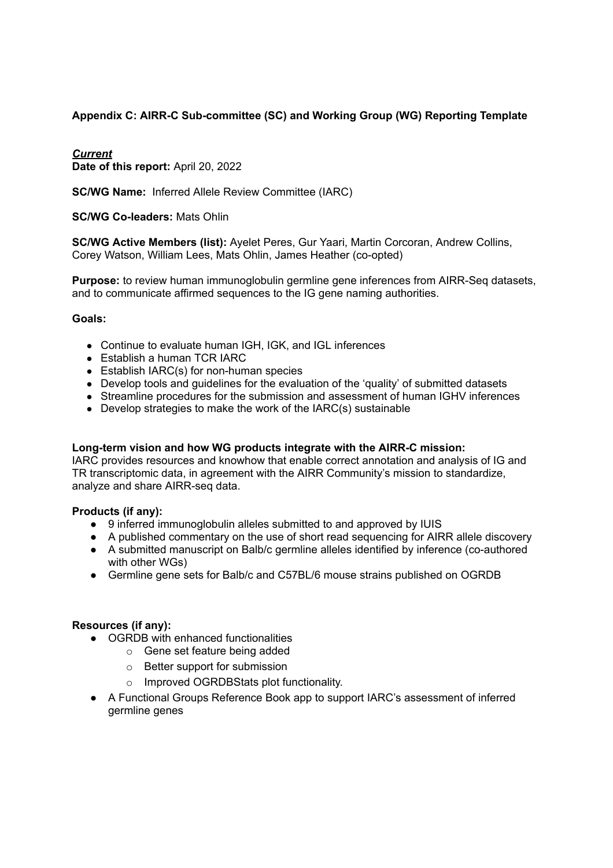## **Appendix C: AIRR-C Sub-committee (SC) and Working Group (WG) Reporting Template**

### *Current*

**Date of this report:** April 20, 2022

**SC/WG Name:** Inferred Allele Review Committee (IARC)

#### **SC/WG Co-leaders:** Mats Ohlin

**SC/WG Active Members (list):** Ayelet Peres, Gur Yaari, Martin Corcoran, Andrew Collins, Corey Watson, William Lees, Mats Ohlin, James Heather (co-opted)

**Purpose:** to review human immunoglobulin germline gene inferences from AIRR-Seq datasets, and to communicate affirmed sequences to the IG gene naming authorities.

#### **Goals:**

- Continue to evaluate human IGH, IGK, and IGL inferences
- Establish a human TCR IARC
- Establish IARC(s) for non-human species
- Develop tools and guidelines for the evaluation of the 'quality' of submitted datasets
- Streamline procedures for the submission and assessment of human IGHV inferences
- Develop strategies to make the work of the IARC(s) sustainable

#### **Long-term vision and how WG products integrate with the AIRR-C mission:**

IARC provides resources and knowhow that enable correct annotation and analysis of IG and TR transcriptomic data, in agreement with the AIRR Community's mission to standardize, analyze and share AIRR-seq data.

#### **Products (if any):**

- 9 inferred immunoglobulin alleles submitted to and approved by IUIS
- A published commentary on the use of short read sequencing for AIRR allele discovery
- A submitted manuscript on Balb/c germline alleles identified by inference (co-authored with other WGs)
- Germline gene sets for Balb/c and C57BL/6 mouse strains published on OGRDB

#### **Resources (if any):**

- OGRDB with enhanced functionalities
	- o Gene set feature being added
	- o Better support for submission
	- Improved OGRDBStats plot functionality.
- A Functional Groups Reference Book app to support IARC's assessment of inferred germline genes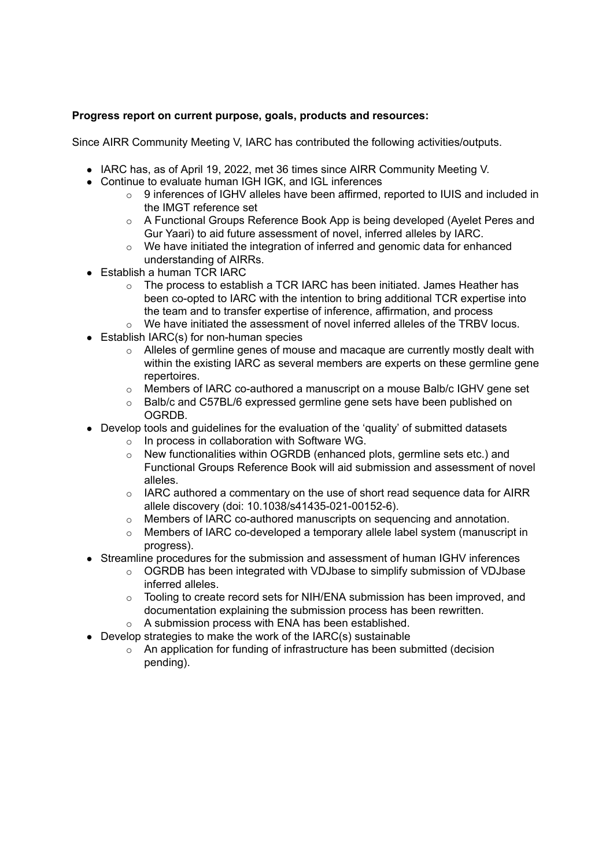### **Progress report on current purpose, goals, products and resources:**

Since AIRR Community Meeting V, IARC has contributed the following activities/outputs.

- IARC has, as of April 19, 2022, met 36 times since AIRR Community Meeting V.
- Continue to evaluate human IGH IGK, and IGL inferences
	- $\circ$  9 inferences of IGHV alleles have been affirmed, reported to IUIS and included in the IMGT reference set
	- o A Functional Groups Reference Book App is being developed (Ayelet Peres and Gur Yaari) to aid future assessment of novel, inferred alleles by IARC.
	- $\circ$  We have initiated the integration of inferred and genomic data for enhanced understanding of AIRRs.
- Establish a human TCR IARC
	- $\circ$  The process to establish a TCR IARC has been initiated. James Heather has been co-opted to IARC with the intention to bring additional TCR expertise into the team and to transfer expertise of inference, affirmation, and process
	- $\circ$  We have initiated the assessment of novel inferred alleles of the TRBV locus.
- Establish IARC(s) for non-human species
	- $\circ$  Alleles of germline genes of mouse and macaque are currently mostly dealt with within the existing IARC as several members are experts on these germline gene repertoires.
	- o Members of IARC co-authored a manuscript on a mouse Balb/c IGHV gene set
	- $\circ$  Balb/c and C57BL/6 expressed germline gene sets have been published on OGRDB.
- Develop tools and guidelines for the evaluation of the 'quality' of submitted datasets
	- o In process in collaboration with Software WG.
	- o New functionalities within OGRDB (enhanced plots, germline sets etc.) and Functional Groups Reference Book will aid submission and assessment of novel alleles.
	- $\circ$  IARC authored a commentary on the use of short read sequence data for AIRR allele discovery (doi: 10.1038/s41435-021-00152-6).
	- o Members of IARC co-authored manuscripts on sequencing and annotation.
	- $\circ$  Members of IARC co-developed a temporary allele label system (manuscript in progress).
- Streamline procedures for the submission and assessment of human IGHV inferences
	- $\circ$  OGRDB has been integrated with VDJbase to simplify submission of VDJbase inferred alleles.
	- o Tooling to create record sets for NIH/ENA submission has been improved, and documentation explaining the submission process has been rewritten.
	- o A submission process with ENA has been established.
- Develop strategies to make the work of the IARC(s) sustainable
	- o An application for funding of infrastructure has been submitted (decision pending).